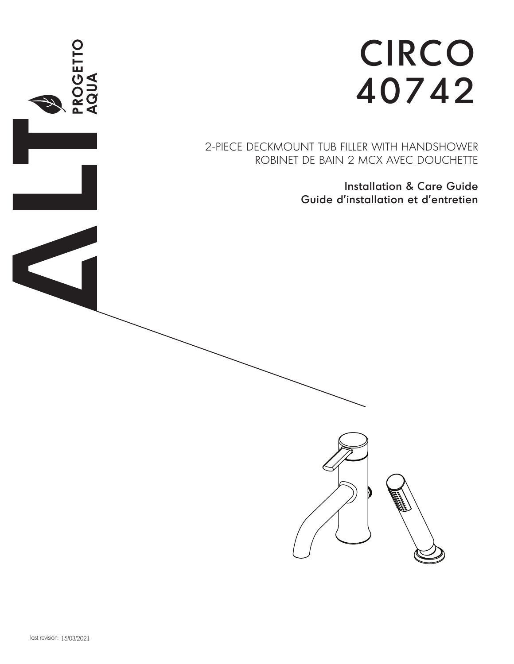

2-PIECE DECKMOUNT TUB FILLER WITH HANDSHOWER ROBINET DE BAIN 2 MCX AVEC DOUCHETTE

> Installation & Care Guide Guide d'installation et d'entretien

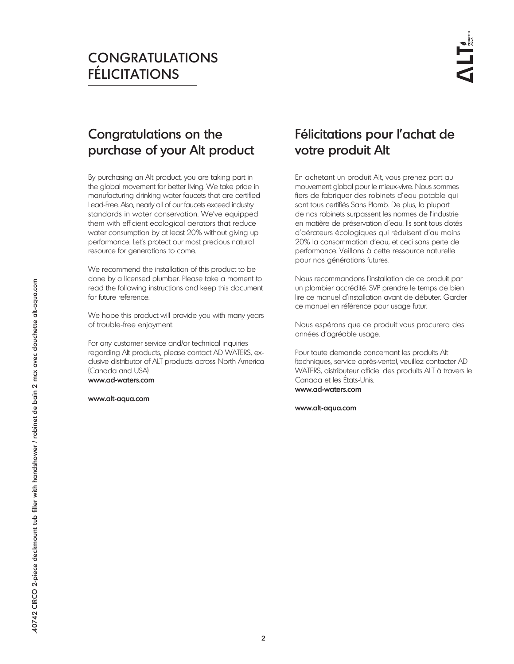# CONGRATULATIONS FÉLICITATIONS

# Congratulations on the purchase of your Alt product

By purchasing an Alt product, you are taking part in the global movement for better living. We take pride in manufacturing drinking water faucets that are certified Lead-Free. Also, nearly all of our faucets exceed industry standards in water conservation. We've equipped them with efficient ecological aerators that reduce water consumption by at least 20% without giving up performance. Let's protect our most precious natural resource for generations to come.

We recommend the installation of this product to be done by a licensed plumber. Please take a moment to read the following instructions and keep this document for future reference.

We hope this product will provide you with many years of trouble-free enjoyment.

For any customer service and/or technical inquiries regarding Alt products, please contact AD WATERS, exclusive distributor of ALT products across North America (Canada and USA).

www.ad-waters.com

www.alt-aqua.com

# Félicitations pour l'achat de votre produit Alt

En achetant un produit Alt, vous prenez part au mouvement global pour le mieux-vivre. Nous sommes fiers de fabriquer des robinets d'eau potable qui sont tous certifiés Sans Plomb. De plus, la plupart de nos robinets surpassent les normes de l'industrie en matière de préservation d'eau. Ils sont tous dotés d'aérateurs écologiques qui réduisent d'au moins 20% la consommation d'eau, et ceci sans perte de performance. Veillons à cette ressource naturelle pour nos générations futures.

Nous recommandons l'installation de ce produit par un plombier accrédité. SVP prendre le temps de bien lire ce manuel d'installation avant de débuter. Garder ce manuel en référence pour usage futur.

Nous espérons que ce produit vous procurera des années d'agréable usage.

Pour toute demande concernant les produits Alt (techniques, service après-vente), veuillez contacter AD WATERS, distributeur officiel des produits ALT à travers le Canada et les États-Unis. www.ad-waters.com

www.alt-aqua.com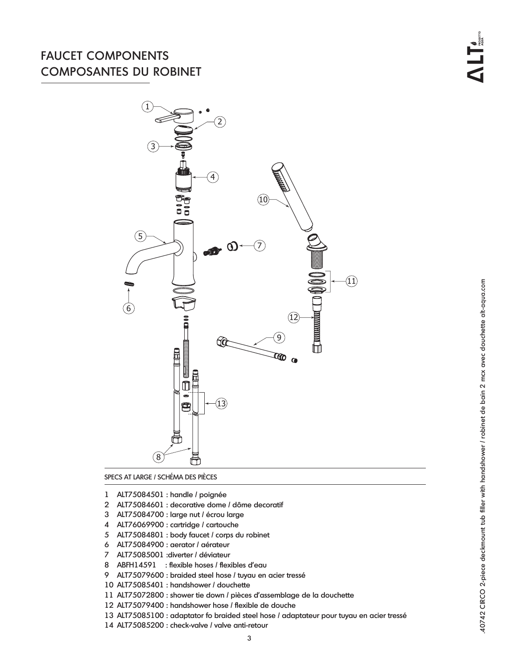## FAUCET COMPONENTS COMPOSANTES DU ROBINET



SPECS AT LARGE / SCHÉMA DES PIÈCES

- ALT75084501 : handle / poignée
- ALT75084601 : decorative dome / dôme decoratif
- ALT75084700 : large nut / écrou large
- ALT76069900 : cartridge / cartouche
- ALT75084801 : body faucet / corps du robinet
- ALT75084900 : aerator / aérateur
- ALT75085001 :diverter / déviateur
- ABFH14591 : flexible hoses / flexibles d'eau
- ALT75079600 : braided steel hose / tuyau en acier tressé
- ALT75085401 : handshower / douchette
- ALT75072800 : shower tie down / pièces d'assemblage de la douchette
- ALT75079400 : handshower hose / flexible de douche
- ALT75085100 : adaptator fo braided steel hose / adaptateur pour tuyau en acier tressé
- ALT75085200 : check-valve / valve anti-retour

40742 CIRCO 2-piece deckmount tub filler with handshower / robinet de bain 2 mcx avec douchette alt-aqua.com #40742 CIRCO 2-piece deckmount tub filler with handshower / robinet de bain 2 mcx avec douchette alt-aqua.com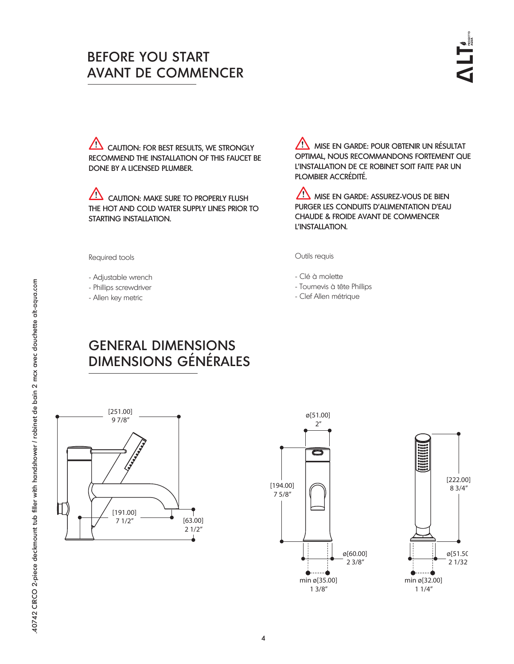# BEFORE YOU START AVANT DE COMMENCER

 $\overline{C}$  Caution: for best results, we strongly RECOMMEND THE INSTALLATION OF THIS FAUCET BE DONE BY A LICENSED PLUMBER.

 $\overline{\mathcal{L}!}$  caution: make sure to properly flush THE HOT AND COLD WATER SUPPLY LINES PRIOR TO STARTING INSTALLATION.

**MISE EN GARDE: POUR OBTENIR UN RÉSULTAT** OPTIMAL, NOUS RECOMMANDONS FORTEMENT QUE L'INSTALLATION DE CE ROBINET SOIT FAITE PAR UN PLOMBIER ACCRÉDITÉ.

 $\sqrt{N}$  mise en Garde: Assurez-Vous de Bien PURGER LES CONDUITS D'ALIMENTATION D'EAU CHAUDE & FROIDE AVANT DE COMMENCER L'INSTALLATION.

Outils requis

- Clé à molette
- Tournevis à tête Phillips
- Clef Allen métrique

### Required tools

- Adjustable wrench
- Phillips screwdriver
- Allen key metric

# GENERAL DIMENSIONS DIMENSIONS GÉNÉRALES





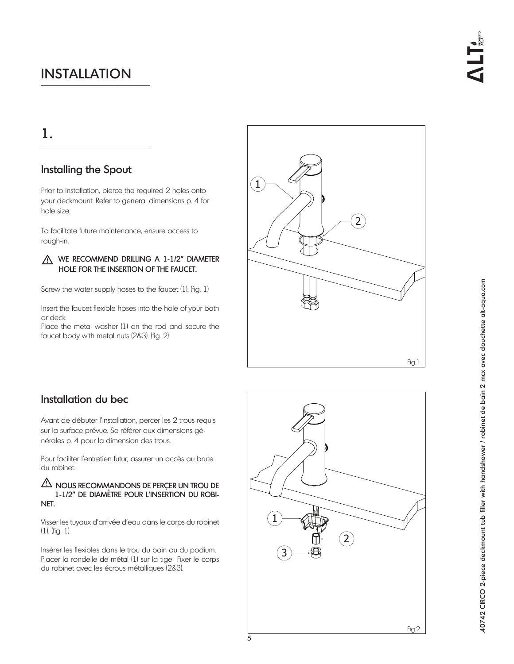## 1.

## Installing the Spout

Prior to installation, pierce the required 2 holes onto your deckmount. Refer to general dimensions p. 4 for hole size.

To facilitate future maintenance, ensure access to rough-in.

### A WE RECOMMEND DRILLING A 1-1/2" DIAMETER HOLE FOR THE INSERTION OF THE FAUCET.

Screw the water supply hoses to the faucet (1). (fig. 1)

Insert the faucet flexible hoses into the hole of your bath or deck.

Place the metal washer (1) on the rod and secure the faucet body with metal nuts (2&3). (fig. 2)



## Installation du bec

Avant de débuter l'installation, percer les 2 trous requis sur la surface prévue. Se référer aux dimensions générales p. 4 pour la dimension des trous.

Pour faciliter l'entretien futur, assurer un accès au brute du robinet.

### AN NOUS RECOMMANDONS DE PERÇER UN TROU DE 1-1/2" DE DIAMÈTRE POUR L'INSERTION DU ROBI-NET.

Visser les tuyaux d'arrivée d'eau dans le corps du robinet (1). (fig. 1)

Insérer les flexibles dans le trou du bain ou du podium. Placer la rondelle de métal (1) sur la tige Fixer le corps du robinet avec les écrous métalliques (2&3).

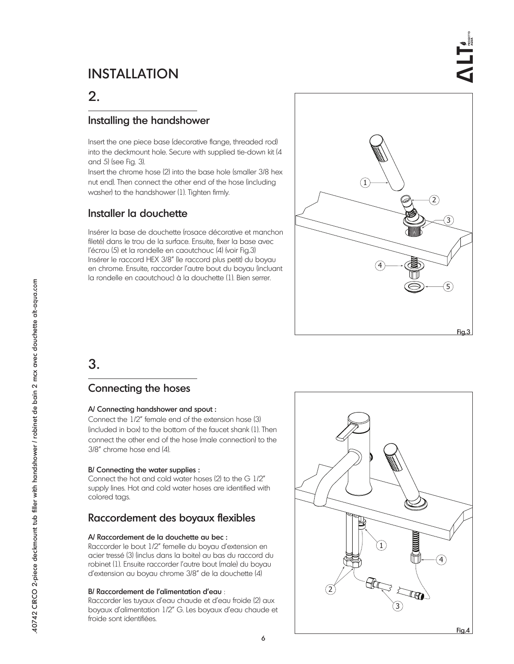# 2.

### Installing the handshower

Insert the one piece base (decorative flange, threaded rod) into the deckmount hole. Secure with supplied tie-down kit (4 and 5) (see Fig. 3).

Insert the chrome hose (2) into the base hole (smaller 3/8 hex nut end). Then connect the other end of the hose (including washer) to the handshower (1). Tighten firmly.

## Installer la douchette

Insérer la base de douchette (rosace décorative et manchon fileté) dans le trou de la surface. Ensuite, fixer la base avec l'écrou (5) et la rondelle en caoutchouc (4) (voir Fig.3) Insérer le raccord HEX 3/8" (le raccord plus petit) du boyau en chrome. Ensuite, raccorder l'autre bout du boyau (incluant la rondelle en caoutchouc) à la douchette (1). Bien serrer.



## 3.

### Connecting the hoses

### A/ Connecting handshower and spout :

Connect the 1/2" female end of the extension hose (3) (included in box) to the bottom of the faucet shank (1). Then connect the other end of the hose (male connection) to the 3/8" chrome hose end (4).

### B/ Connecting the water supplies :

Connect the hot and cold water hoses (2) to the G 1/2" supply lines. Hot and cold water hoses are identified with colored tags.

## Raccordement des boyaux flexibles

### A/ Raccordement de la douchette au bec :

Raccorder le bout 1/2" femelle du boyau d'extension en acier tressé (3) (inclus dans la boite) au bas du raccord du robinet (1). Ensuite raccorder l'autre bout (male) du boyau d'extension au boyau chrome 3/8" de la douchette (4)

### B/ Raccordement de l'alimentation d'eau :

Raccorder les tuyaux d'eau chaude et d'eau froide (2) aux boyaux d'alimentation 1/2" G. Les boyaux d'eau chaude et froide sont identifiées.

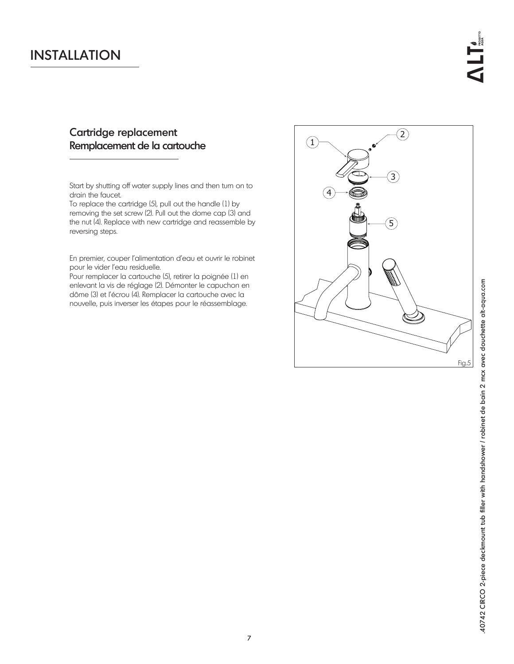## Cartridge replacement Remplacement de la cartouche

Start by shutting off water supply lines and then turn on to drain the faucet.

To replace the cartridge (5), pull out the handle (1) by removing the set screw (2). Pull out the dome cap (3) and the nut (4). Replace with new cartridge and reassemble by reversing steps.

En premier, couper l'alimentation d'eau et ouvrir le robinet pour le vider l'eau residuelle.

Pour remplacer la cartouche (5), retirer la poignée (1) en enlevant la vis de réglage (2). Démonter le capuchon en dôme (3) et l'écrou (4). Remplacer la cartouche avec la nouvelle, puis inverser les étapes pour le réassemblage.

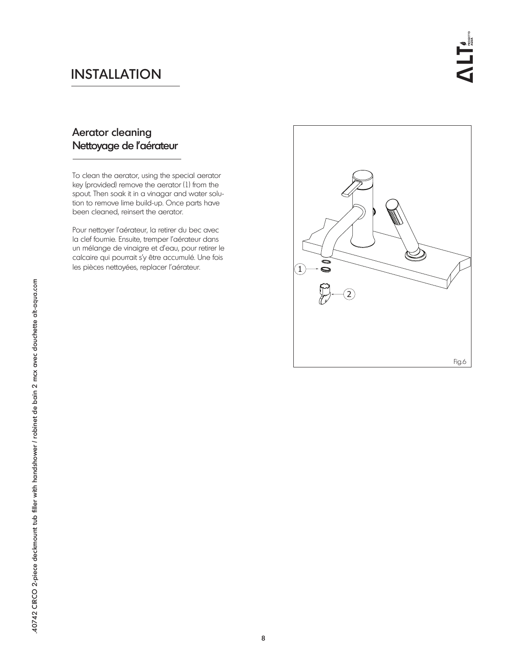## Aerator cleaning Nettoyage de l'aérateur

To clean the aerator, using the special aerator key (provided) remove the aerator (1) from the spout. Then soak it in a vinagar and water solution to remove lime build-up. Once parts have been cleaned, reinsert the aerator.

Pour nettoyer l'aérateur, la retirer du bec avec la clef fournie. Ensuite, tremper l'aérateur dans un mélange de vinaigre et d'eau, pour retirer le calcaire qui pourrait s'y être accumulé. Une fois les pièces nettoyées, replacer l'aérateur.

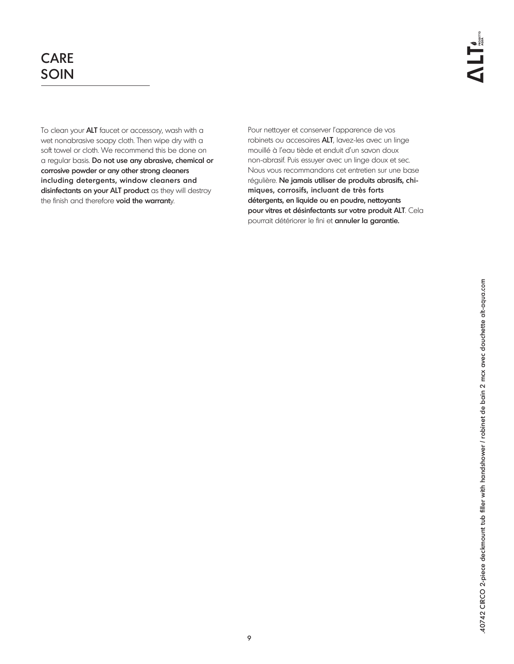# CARE SOIN

To clean your ALT faucet or accessory, wash with a wet nonabrasive soapy cloth. Then wipe dry with a soft towel or cloth. We recommend this be done on a regular basis. Do not use any abrasive, chemical or corrosive powder or any other strong cleaners including detergents, window cleaners and disinfectants on your ALT product as they will destroy the finish and therefore void the warranty.

Pour nettoyer et conserver l'apparence de vos robinets ou accesoires ALT, lavez-les avec un linge mouillé à l'eau tiède et enduit d'un savon doux non-abrasif. Puis essuyer avec un linge doux et sec. Nous vous recommandons cet entretien sur une base régulière. Ne jamais utiliser de produits abrasifs, chimiques, corrosifs, incluant de très forts détergents, en liquide ou en poudre, nettoyants pour vitres et désinfectants sur votre produit ALT. Cela pourrait détériorer le fini et annuler la garantie.